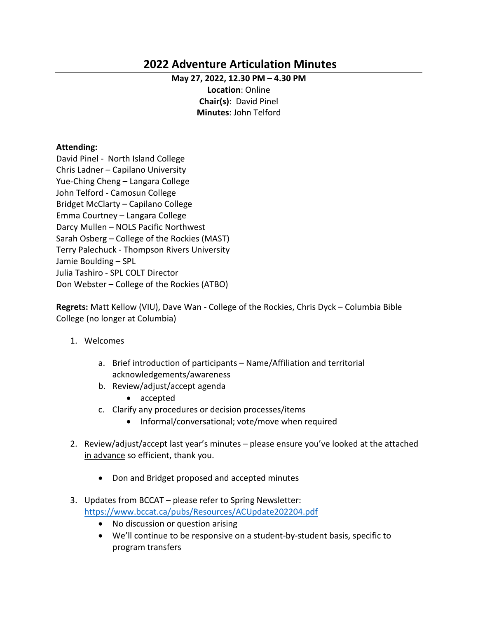# **2022 Adventure Articulation Minutes**

#### **May 27, 2022, 12.30 PM – 4.30 PM**

**Location**: Online **Chair(s)**: David Pinel **Minutes**: John Telford

#### **Attending:**

David Pinel - North Island College Chris Ladner – Capilano University Yue-Ching Cheng – Langara College John Telford - Camosun College Bridget McClarty – Capilano College Emma Courtney – Langara College Darcy Mullen – NOLS Pacific Northwest Sarah Osberg – College of the Rockies (MAST) Terry Palechuck - Thompson Rivers University Jamie Boulding – SPL Julia Tashiro - SPL COLT Director Don Webster – College of the Rockies (ATBO)

**Regrets:** Matt Kellow (VIU), Dave Wan - College of the Rockies, Chris Dyck – Columbia Bible College (no longer at Columbia)

- 1. Welcomes
	- a. Brief introduction of participants Name/Affiliation and territorial acknowledgements/awareness
	- b. Review/adjust/accept agenda
		- accepted
	- c. Clarify any procedures or decision processes/items
		- Informal/conversational; vote/move when required
- 2. Review/adjust/accept last year's minutes please ensure you've looked at the attached in advance so efficient, thank you.
	- Don and Bridget proposed and accepted minutes
- 3. Updates from BCCAT please refer to Spring Newsletter: [https://www.bccat.ca/pubs/Resources/ACUpdate202204.pdf](https://can01.safelinks.protection.outlook.com/?url=https%3A%2F%2Fwww.bccat.ca%2Fpubs%2FResources%2FACUpdate202204.pdf&data=05%7C01%7CDavid.Pinel%40nic.bc.ca%7C64f10a04b599490d4a5a08da3f43ba13%7C7031d246343740c3b3899df41829d339%7C0%7C0%7C637891857973694185%7CUnknown%7CTWFpbGZsb3d8eyJWIjoiMC4wLjAwMDAiLCJQIjoiV2luMzIiLCJBTiI6Ik1haWwiLCJXVCI6Mn0%3D%7C3000%7C%7C%7C&sdata=UrDZcPn1frumA1WMWTnoOEzPwKy%2FkVzOmrXXnJ5fPCo%3D&reserved=0)
	- No discussion or question arising
	- We'll continue to be responsive on a student-by-student basis, specific to program transfers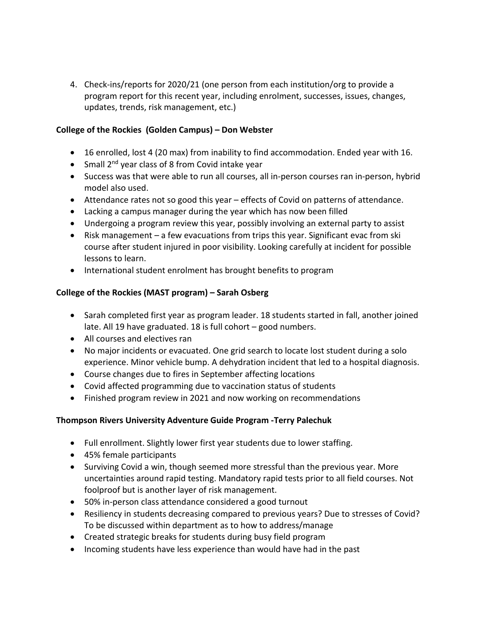4. Check-ins/reports for 2020/21 (one person from each institution/org to provide a program report for this recent year, including enrolment, successes, issues, changes, updates, trends, risk management, etc.)

#### **College of the Rockies (Golden Campus) – Don Webster**

- 16 enrolled, lost 4 (20 max) from inability to find accommodation. Ended year with 16.
- Small  $2^{nd}$  year class of 8 from Covid intake year
- Success was that were able to run all courses, all in-person courses ran in-person, hybrid model also used.
- Attendance rates not so good this year effects of Covid on patterns of attendance.
- Lacking a campus manager during the year which has now been filled
- Undergoing a program review this year, possibly involving an external party to assist
- Risk management a few evacuations from trips this year. Significant evac from ski course after student injured in poor visibility. Looking carefully at incident for possible lessons to learn.
- International student enrolment has brought benefits to program

#### **College of the Rockies (MAST program) – Sarah Osberg**

- Sarah completed first year as program leader. 18 students started in fall, another joined late. All 19 have graduated. 18 is full cohort – good numbers.
- All courses and electives ran
- No major incidents or evacuated. One grid search to locate lost student during a solo experience. Minor vehicle bump. A dehydration incident that led to a hospital diagnosis.
- Course changes due to fires in September affecting locations
- Covid affected programming due to vaccination status of students
- Finished program review in 2021 and now working on recommendations

### **Thompson Rivers University Adventure Guide Program -Terry Palechuk**

- Full enrollment. Slightly lower first year students due to lower staffing.
- 45% female participants
- Surviving Covid a win, though seemed more stressful than the previous year. More uncertainties around rapid testing. Mandatory rapid tests prior to all field courses. Not foolproof but is another layer of risk management.
- 50% in-person class attendance considered a good turnout
- Resiliency in students decreasing compared to previous years? Due to stresses of Covid? To be discussed within department as to how to address/manage
- Created strategic breaks for students during busy field program
- Incoming students have less experience than would have had in the past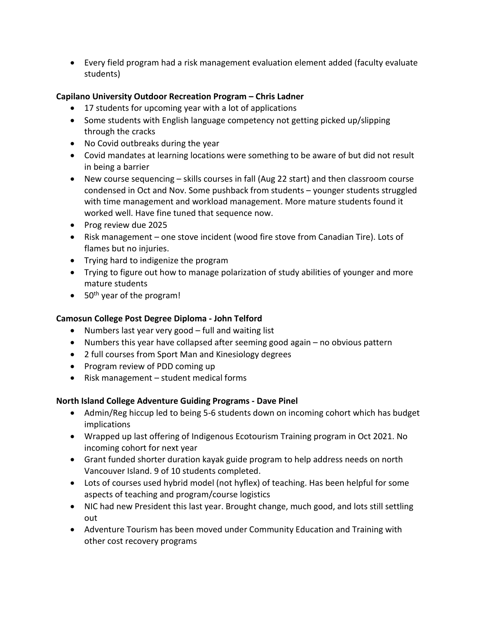• Every field program had a risk management evaluation element added (faculty evaluate students)

# **Capilano University Outdoor Recreation Program – Chris Ladner**

- 17 students for upcoming year with a lot of applications
- Some students with English language competency not getting picked up/slipping through the cracks
- No Covid outbreaks during the year
- Covid mandates at learning locations were something to be aware of but did not result in being a barrier
- New course sequencing skills courses in fall (Aug 22 start) and then classroom course condensed in Oct and Nov. Some pushback from students – younger students struggled with time management and workload management. More mature students found it worked well. Have fine tuned that sequence now.
- Prog review due 2025
- Risk management one stove incident (wood fire stove from Canadian Tire). Lots of flames but no injuries.
- Trying hard to indigenize the program
- Trying to figure out how to manage polarization of study abilities of younger and more mature students
- $\bullet$  50<sup>th</sup> year of the program!

### **Camosun College Post Degree Diploma - John Telford**

- Numbers last year very good full and waiting list
- Numbers this year have collapsed after seeming good again no obvious pattern
- 2 full courses from Sport Man and Kinesiology degrees
- Program review of PDD coming up
- Risk management student medical forms

### **North Island College Adventure Guiding Programs - Dave Pinel**

- Admin/Reg hiccup led to being 5-6 students down on incoming cohort which has budget implications
- Wrapped up last offering of Indigenous Ecotourism Training program in Oct 2021. No incoming cohort for next year
- Grant funded shorter duration kayak guide program to help address needs on north Vancouver Island. 9 of 10 students completed.
- Lots of courses used hybrid model (not hyflex) of teaching. Has been helpful for some aspects of teaching and program/course logistics
- NIC had new President this last year. Brought change, much good, and lots still settling out
- Adventure Tourism has been moved under Community Education and Training with other cost recovery programs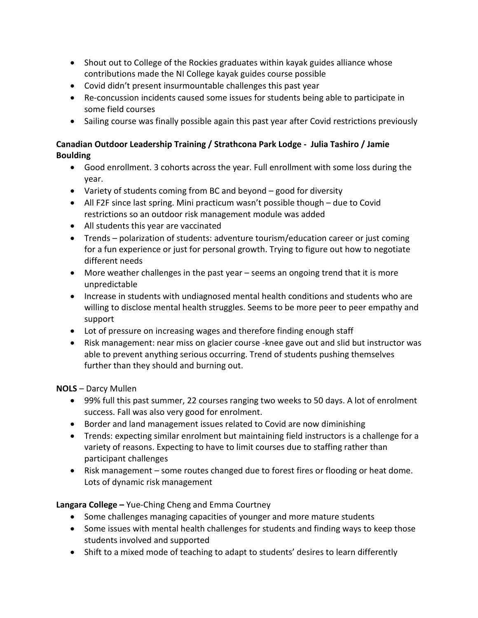- Shout out to College of the Rockies graduates within kayak guides alliance whose contributions made the NI College kayak guides course possible
- Covid didn't present insurmountable challenges this past year
- Re-concussion incidents caused some issues for students being able to participate in some field courses
- Sailing course was finally possible again this past year after Covid restrictions previously

# **Canadian Outdoor Leadership Training / Strathcona Park Lodge - Julia Tashiro / Jamie Boulding**

- Good enrollment. 3 cohorts across the year. Full enrollment with some loss during the year.
- Variety of students coming from BC and beyond good for diversity
- All F2F since last spring. Mini practicum wasn't possible though due to Covid restrictions so an outdoor risk management module was added
- All students this year are vaccinated
- Trends polarization of students: adventure tourism/education career or just coming for a fun experience or just for personal growth. Trying to figure out how to negotiate different needs
- More weather challenges in the past year seems an ongoing trend that it is more unpredictable
- Increase in students with undiagnosed mental health conditions and students who are willing to disclose mental health struggles. Seems to be more peer to peer empathy and support
- Lot of pressure on increasing wages and therefore finding enough staff
- Risk management: near miss on glacier course -knee gave out and slid but instructor was able to prevent anything serious occurring. Trend of students pushing themselves further than they should and burning out.

**NOLS** – Darcy Mullen

- 99% full this past summer, 22 courses ranging two weeks to 50 days. A lot of enrolment success. Fall was also very good for enrolment.
- Border and land management issues related to Covid are now diminishing
- Trends: expecting similar enrolment but maintaining field instructors is a challenge for a variety of reasons. Expecting to have to limit courses due to staffing rather than participant challenges
- Risk management some routes changed due to forest fires or flooding or heat dome. Lots of dynamic risk management

**Langara College –** Yue-Ching Cheng and Emma Courtney

- Some challenges managing capacities of younger and more mature students
- Some issues with mental health challenges for students and finding ways to keep those students involved and supported
- Shift to a mixed mode of teaching to adapt to students' desires to learn differently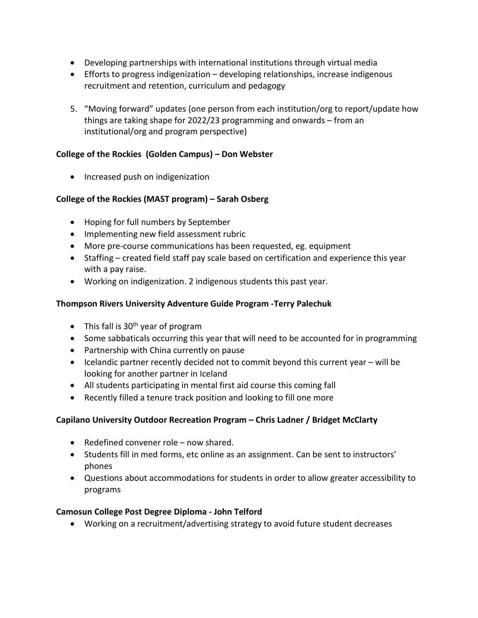- Developing partnerships with international institutions through virtual media
- Efforts to progress indigenization developing relationships, increase indigenous recruitment and retention, curriculum and pedagogy
- 5. "Moving forward" updates (one person from each institution/org to report/update how things are taking shape for 2022/23 programming and onwards – from an institutional/org and program perspective)

### **College of the Rockies (Golden Campus) – Don Webster**

• Increased push on indigenization

# **College of the Rockies (MAST program) – Sarah Osberg**

- Hoping for full numbers by September
- Implementing new field assessment rubric
- More pre-course communications has been requested, eg. equipment
- Staffing created field staff pay scale based on certification and experience this year with a pay raise.
- Working on indigenization. 2 indigenous students this past year.

### **Thompson Rivers University Adventure Guide Program -Terry Palechuk**

- This fall is  $30<sup>th</sup>$  year of program
- Some sabbaticals occurring this year that will need to be accounted for in programming
- Partnership with China currently on pause
- Icelandic partner recently decided not to commit beyond this current year will be looking for another partner in Iceland
- All students participating in mental first aid course this coming fall
- Recently filled a tenure track position and looking to fill one more

### **Capilano University Outdoor Recreation Program – Chris Ladner / Bridget McClarty**

- Redefined convener role now shared.
- Students fill in med forms, etc online as an assignment. Can be sent to instructors' phones
- Questions about accommodations for students in order to allow greater accessibility to programs

### **Camosun College Post Degree Diploma - John Telford**

• Working on a recruitment/advertising strategy to avoid future student decreases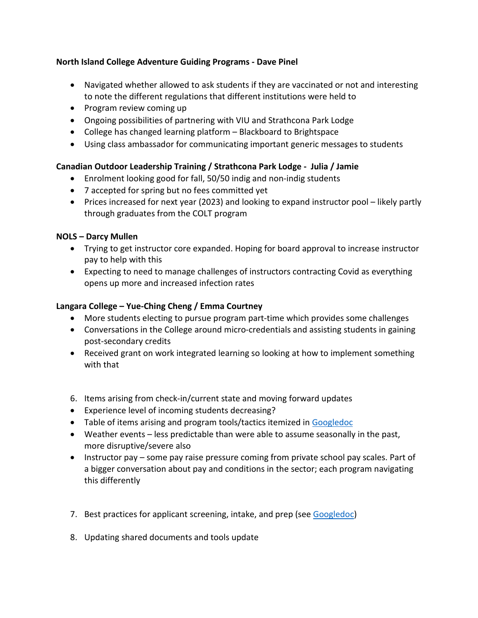### **North Island College Adventure Guiding Programs - Dave Pinel**

- Navigated whether allowed to ask students if they are vaccinated or not and interesting to note the different regulations that different institutions were held to
- Program review coming up
- Ongoing possibilities of partnering with VIU and Strathcona Park Lodge
- College has changed learning platform Blackboard to Brightspace
- Using class ambassador for communicating important generic messages to students

# **Canadian Outdoor Leadership Training / Strathcona Park Lodge - Julia / Jamie**

- Enrolment looking good for fall, 50/50 indig and non-indig students
- 7 accepted for spring but no fees committed yet
- Prices increased for next year (2023) and looking to expand instructor pool likely partly through graduates from the COLT program

### **NOLS – Darcy Mullen**

- Trying to get instructor core expanded. Hoping for board approval to increase instructor pay to help with this
- Expecting to need to manage challenges of instructors contracting Covid as everything opens up more and increased infection rates

# **Langara College – Yue-Ching Cheng / Emma Courtney**

- More students electing to pursue program part-time which provides some challenges
- Conversations in the College around micro-credentials and assisting students in gaining post-secondary credits
- Received grant on work integrated learning so looking at how to implement something with that
- 6. Items arising from check-in/current state and moving forward updates
- Experience level of incoming students decreasing?
- Table of items arising and program tools/tactics itemized in Googledoc
- Weather events less predictable than were able to assume seasonally in the past, more disruptive/severe also
- Instructor pay some pay raise pressure coming from private school pay scales. Part of a bigger conversation about pay and conditions in the sector; each program navigating this differently
- 7. Best practices for applicant screening, intake, and prep (see [Googledoc\)](https://docs.google.com/document/d/1zNHVyVEcY7kAbu7WhonBFmj12BO7if5cxjCiCguQEfo/edit?usp=sharing)
- 8. Updating shared documents and tools update